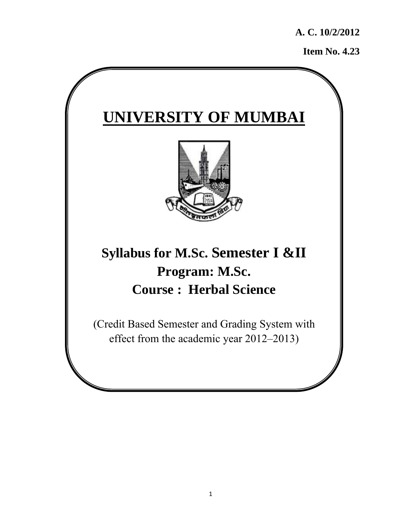**A. C. 10/2/2012** 

**Item No. 4.23** 

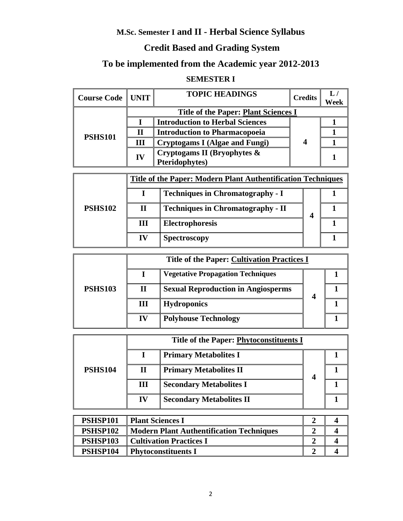## **M.Sc. Semester I and II - Herbal Science Syllabus**

#### **Credit Based and Grading System**

# **To be implemented from the Academic year 2012-2013**

#### **SEMESTER I**

| <b>Course Code   UNIT</b> |    | <b>TOPIC HEADINGS</b>                                 | <b>Credits</b> | Week |
|---------------------------|----|-------------------------------------------------------|----------------|------|
|                           |    | <b>Title of the Paper: Plant Sciences I</b>           |                |      |
|                           |    | <b>Introduction to Herbal Sciences</b>                | 4              |      |
| <b>PSHS101</b>            |    | <b>Introduction to Pharmacopoeia</b>                  |                |      |
|                           | Ш  | <b>Cryptogams I (Algae and Fungi)</b>                 |                |      |
|                           | IV | Cryptogams II (Bryophytes &<br><b>Pteridophytes</b> ) |                |      |

|                |    | <b>Title of the Paper: Modern Plant Authentification Techniques</b> |   |  |
|----------------|----|---------------------------------------------------------------------|---|--|
| <b>PSHS102</b> |    | <b>Techniques in Chromatography - I</b>                             |   |  |
|                | П  | <b>Techniques in Chromatography - II</b>                            | 4 |  |
|                | Ш  | Electrophoresis                                                     |   |  |
|                | IV | <b>Spectroscopy</b>                                                 |   |  |

|                |    | <b>Title of the Paper: Cultivation Practices I</b> |  |
|----------------|----|----------------------------------------------------|--|
|                |    | <b>Vegetative Propagation Techniques</b>           |  |
| <b>PSHS103</b> | Н  | <b>Sexual Reproduction in Angiosperms</b>          |  |
|                | Ш  | <b>Hydroponics</b>                                 |  |
|                | IV | <b>Polyhouse Technology</b>                        |  |

|                |    | Title of the Paper: Phytoconstituents I |  |  |
|----------------|----|-----------------------------------------|--|--|
|                |    | <b>Primary Metabolites I</b>            |  |  |
| <b>PSHS104</b> | Н  | <b>Primary Metabolites II</b>           |  |  |
|                | Ш  | <b>Secondary Metabolites I</b>          |  |  |
|                | IV | <b>Secondary Metabolites II</b>         |  |  |

| PSHSP101 | Plant Sciences I                                |  |
|----------|-------------------------------------------------|--|
| PSHSP102 | <b>Modern Plant Authentification Techniques</b> |  |
| PSHSP103 | Cultivation Practices I                         |  |
| PSHSP104 | Phytoconstituents I                             |  |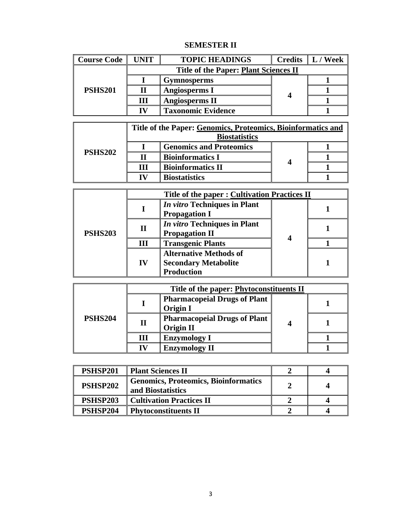#### **SEMESTER II**

| <b>Course Code</b> | <b>UNIT</b> | <b>TOPIC HEADINGS</b>                 | Credits $\  L /$ Week |
|--------------------|-------------|---------------------------------------|-----------------------|
| <b>PSHS201</b>     |             | Title of the Paper: Plant Sciences II |                       |
|                    |             | <b>Gymnosperms</b>                    |                       |
|                    |             | <b>Angiosperms I</b>                  |                       |
|                    | Ш           | <b>Angiosperms II</b>                 |                       |
|                    | 17          | <b>Taxonomic Evidence</b>             |                       |

|                |                      | Title of the Paper: Genomics, Proteomics, Bioinformatics and |  |  |
|----------------|----------------------|--------------------------------------------------------------|--|--|
| <b>PSHS202</b> | <b>Biostatistics</b> |                                                              |  |  |
|                |                      | <b>Genomics and Proteomics</b>                               |  |  |
|                |                      | <b>Bioinformatics I</b>                                      |  |  |
|                | Ш                    | <b>Bioinformatics II</b>                                     |  |  |
|                | IV                   | <b>Biostatistics</b>                                         |  |  |

|                |             | Title of the paper : Cultivation Practices II                                     |   |  |
|----------------|-------------|-----------------------------------------------------------------------------------|---|--|
| <b>PSHS203</b> |             | <i>In vitro</i> Techniques in Plant<br><b>Propagation I</b>                       |   |  |
|                | $\mathbf H$ | <i>In vitro</i> Techniques in Plant<br><b>Propagation II</b>                      | 4 |  |
|                | Ш           | <b>Transgenic Plants</b>                                                          |   |  |
|                | IV          | <b>Alternative Methods of</b><br><b>Secondary Metabolite</b><br><b>Production</b> |   |  |

|                |   | Title of the paper: Phytoconstituents II                |  |  |
|----------------|---|---------------------------------------------------------|--|--|
| <b>PSHS204</b> |   | <b>Pharmacopeial Drugs of Plant</b><br><b>Origin I</b>  |  |  |
|                | П | <b>Pharmacopeial Drugs of Plant</b><br><b>Origin II</b> |  |  |
|                | Ш | <b>Enzymology I</b>                                     |  |  |
|                |   | <b>Enzymology II</b>                                    |  |  |

| <b>PSHSP201</b> | Plant Sciences II                                                |  |
|-----------------|------------------------------------------------------------------|--|
| <b>PSHSP202</b> | <b>Genomics, Proteomics, Bioinformatics</b><br>and Biostatistics |  |
| <b>PSHSP203</b> | Cultivation Practices II                                         |  |
| PSHSP204        | <b>Phytoconstituents II</b>                                      |  |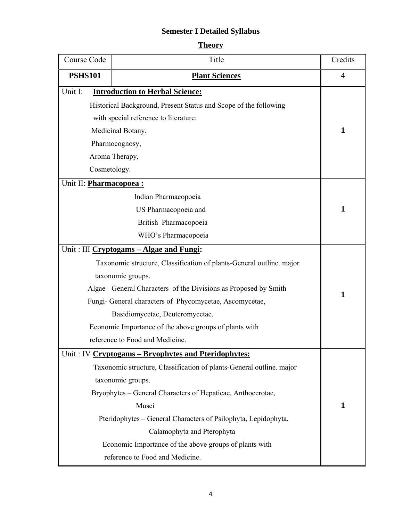## **Semester I Detailed Syllabus**

| eo<br>н<br>L |
|--------------|
|              |

| Course Code                    | Title                                                                | Credits        |
|--------------------------------|----------------------------------------------------------------------|----------------|
| <b>PSHS101</b>                 | <b>Plant Sciences</b>                                                | $\overline{4}$ |
| Unit I:                        | <b>Introduction to Herbal Science:</b>                               |                |
|                                | Historical Background, Present Status and Scope of the following     |                |
|                                | with special reference to literature:                                |                |
|                                | Medicinal Botany,                                                    | 1              |
|                                | Pharmocognosy,                                                       |                |
|                                | Aroma Therapy,                                                       |                |
| Cosmetology.                   |                                                                      |                |
| Unit II: <b>Pharmacopoea :</b> |                                                                      |                |
|                                | Indian Pharmacopoeia                                                 |                |
|                                | US Pharmacopoeia and                                                 | 1              |
|                                | British Pharmacopoeia                                                |                |
|                                | WHO's Pharmacopoeia                                                  |                |
|                                | Unit: III Cryptogams - Algae and Fungi:                              |                |
|                                | Taxonomic structure, Classification of plants-General outline. major |                |
|                                | taxonomic groups.                                                    |                |
|                                | Algae- General Characters of the Divisions as Proposed by Smith      | 1              |
|                                | Fungi- General characters of Phycomycetae, Ascomycetae,              |                |
|                                | Basidiomycetae, Deuteromycetae.                                      |                |
|                                | Economic Importance of the above groups of plants with               |                |
|                                | reference to Food and Medicine.                                      |                |
|                                | Unit: IV Cryptogams - Bryophytes and Pteridophytes:                  |                |
|                                | Taxonomic structure, Classification of plants-General outline. major |                |
|                                | taxonomic groups.                                                    |                |
|                                | Bryophytes – General Characters of Hepaticae, Anthocerotae,          |                |
|                                | Musci                                                                | 1              |
|                                | Pteridophytes - General Characters of Psilophyta, Lepidophyta,       |                |
|                                | Calamophyta and Pterophyta                                           |                |
|                                | Economic Importance of the above groups of plants with               |                |
|                                | reference to Food and Medicine.                                      |                |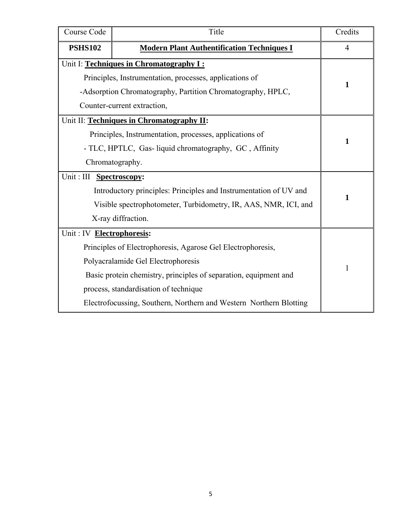| Course Code                                                      | Title                                                              | Credits |  |
|------------------------------------------------------------------|--------------------------------------------------------------------|---------|--|
| <b>PSHS102</b>                                                   | <b>Modern Plant Authentification Techniques I</b>                  |         |  |
|                                                                  | Unit I: Techniques in Chromatography I:                            |         |  |
|                                                                  | Principles, Instrumentation, processes, applications of            |         |  |
|                                                                  | -Adsorption Chromatography, Partition Chromatography, HPLC,        | 1       |  |
|                                                                  | Counter-current extraction,                                        |         |  |
|                                                                  | Unit II: Techniques in Chromatography II:                          |         |  |
|                                                                  | Principles, Instrumentation, processes, applications of            |         |  |
|                                                                  | - TLC, HPTLC, Gas-liquid chromatography, GC, Affinity              | 1       |  |
| Chromatography.                                                  |                                                                    |         |  |
| Unit: III Spectroscopy:                                          |                                                                    |         |  |
|                                                                  | Introductory principles: Principles and Instrumentation of UV and  |         |  |
|                                                                  | Visible spectrophotometer, Turbidometry, IR, AAS, NMR, ICI, and    |         |  |
| X-ray diffraction.                                               |                                                                    |         |  |
| Unit: IV Electrophoresis:                                        |                                                                    |         |  |
| Principles of Electrophoresis, Agarose Gel Electrophoresis,      |                                                                    |         |  |
| Polyacralamide Gel Electrophoresis                               | 1                                                                  |         |  |
| Basic protein chemistry, principles of separation, equipment and |                                                                    |         |  |
| process, standardisation of technique                            |                                                                    |         |  |
|                                                                  | Electrofocussing, Southern, Northern and Western Northern Blotting |         |  |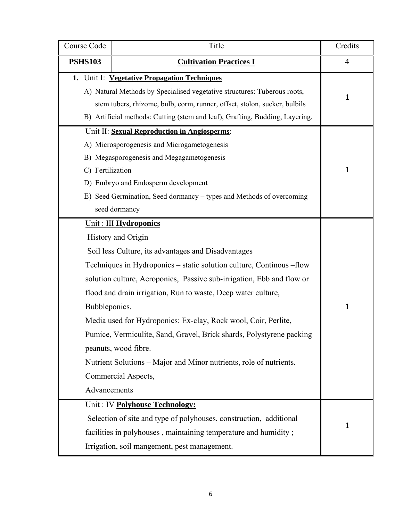| Course Code<br>Title                                                                                                                                                                                                                                                                         |                                                                                                                                                                                                                                                                                                                                                                                                                                                                                                                                                                                      | Credits |
|----------------------------------------------------------------------------------------------------------------------------------------------------------------------------------------------------------------------------------------------------------------------------------------------|--------------------------------------------------------------------------------------------------------------------------------------------------------------------------------------------------------------------------------------------------------------------------------------------------------------------------------------------------------------------------------------------------------------------------------------------------------------------------------------------------------------------------------------------------------------------------------------|---------|
| <b>PSHS103</b>                                                                                                                                                                                                                                                                               | $\overline{4}$                                                                                                                                                                                                                                                                                                                                                                                                                                                                                                                                                                       |         |
| 1. Unit I: Vegetative Propagation Techniques<br>A) Natural Methods by Specialised vegetative structures: Tuberous roots,<br>stem tubers, rhizome, bulb, corm, runner, offset, stolon, sucker, bulbils<br>B) Artificial methods: Cutting (stem and leaf), Grafting, Budding, Layering.        | 1                                                                                                                                                                                                                                                                                                                                                                                                                                                                                                                                                                                    |         |
| Unit II: Sexual Reproduction in Angiosperms:<br>A) Microsporogenesis and Microgametogenesis<br>B) Megasporogenesis and Megagametogenesis<br>C) Fertilization<br>D) Embryo and Endosperm development<br>E) Seed Germination, Seed dormancy - types and Methods of overcoming<br>seed dormancy | $\mathbf{1}$                                                                                                                                                                                                                                                                                                                                                                                                                                                                                                                                                                         |         |
| Bubbleponics.<br>Advancements                                                                                                                                                                                                                                                                | Unit : III Hydroponics<br>History and Origin<br>Soil less Culture, its advantages and Disadvantages<br>Techniques in Hydroponics - static solution culture, Continous -flow<br>solution culture, Aeroponics, Passive sub-irrigation, Ebb and flow or<br>flood and drain irrigation, Run to waste, Deep water culture,<br>Media used for Hydroponics: Ex-clay, Rock wool, Coir, Perlite,<br>Pumice, Vermiculite, Sand, Gravel, Brick shards, Polystyrene packing<br>peanuts, wood fibre.<br>Nutrient Solutions – Major and Minor nutrients, role of nutrients.<br>Commercial Aspects, | 1       |
|                                                                                                                                                                                                                                                                                              | Unit: IV Polyhouse Technology:<br>Selection of site and type of polyhouses, construction, additional<br>facilities in polyhouses, maintaining temperature and humidity;<br>Irrigation, soil mangement, pest management.                                                                                                                                                                                                                                                                                                                                                              | 1       |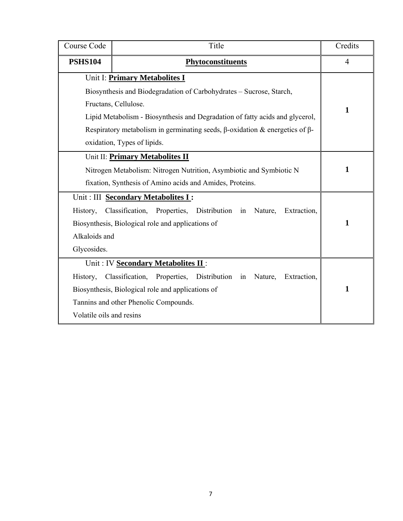| Course Code                                                         | Title                                                                                     | Credits |  |  |  |  |
|---------------------------------------------------------------------|-------------------------------------------------------------------------------------------|---------|--|--|--|--|
| <b>PSHS104</b>                                                      | <b>Phytoconstituents</b>                                                                  |         |  |  |  |  |
| Unit I: Primary Metabolites I                                       |                                                                                           |         |  |  |  |  |
|                                                                     | Biosynthesis and Biodegradation of Carbohydrates - Sucrose, Starch,                       |         |  |  |  |  |
|                                                                     | Fructans, Cellulose.                                                                      | 1       |  |  |  |  |
|                                                                     | Lipid Metabolism - Biosynthesis and Degradation of fatty acids and glycerol,              |         |  |  |  |  |
|                                                                     | Respiratory metabolism in germinating seeds, $\beta$ -oxidation & energetics of $\beta$ - |         |  |  |  |  |
|                                                                     | oxidation, Types of lipids.                                                               |         |  |  |  |  |
|                                                                     | Unit II: Primary Metabolites II                                                           |         |  |  |  |  |
| Nitrogen Metabolism: Nitrogen Nutrition, Asymbiotic and Symbiotic N | 1                                                                                         |         |  |  |  |  |
| fixation, Synthesis of Amino acids and Amides, Proteins.            |                                                                                           |         |  |  |  |  |
| Unit: III Secondary Metabolites I:                                  |                                                                                           |         |  |  |  |  |
| History,                                                            | Classification, Properties,<br>Distribution in Nature,<br>Extraction,                     |         |  |  |  |  |
| Biosynthesis, Biological role and applications of                   | 1                                                                                         |         |  |  |  |  |
| Alkaloids and                                                       |                                                                                           |         |  |  |  |  |
| Glycosides.                                                         |                                                                                           |         |  |  |  |  |
|                                                                     | Unit: IV Secondary Metabolites II:                                                        |         |  |  |  |  |
| History,                                                            | Classification, Properties, Distribution in<br>Extraction,<br>Nature,                     |         |  |  |  |  |
| Biosynthesis, Biological role and applications of                   | 1                                                                                         |         |  |  |  |  |
| Tannins and other Phenolic Compounds.                               |                                                                                           |         |  |  |  |  |
| Volatile oils and resins                                            |                                                                                           |         |  |  |  |  |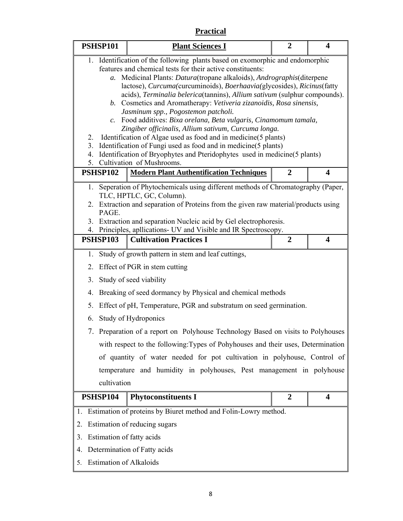#### **Practical**

| <b>PSHSP101</b>                                                                                                                                                                                                                                                                                                                                                                                                                                                                                                                                                                                                                                                                                                                                                                                                                                                                                      | <b>Plant Sciences I</b>                                                                                                                                                                                                                                                                                                                    | $\boldsymbol{2}$ | 4                       |  |
|------------------------------------------------------------------------------------------------------------------------------------------------------------------------------------------------------------------------------------------------------------------------------------------------------------------------------------------------------------------------------------------------------------------------------------------------------------------------------------------------------------------------------------------------------------------------------------------------------------------------------------------------------------------------------------------------------------------------------------------------------------------------------------------------------------------------------------------------------------------------------------------------------|--------------------------------------------------------------------------------------------------------------------------------------------------------------------------------------------------------------------------------------------------------------------------------------------------------------------------------------------|------------------|-------------------------|--|
| 1. Identification of the following plants based on exomorphic and endomorphic<br>features and chemical tests for their active constituents:<br>Medicinal Plants: Datura(tropane alkaloids), Andrographis(diterpene<br>$a_{\cdot}$<br>lactose), Curcuma(curcuminoids), Boerhaavia(glycosides), Ricinus(fatty<br>acids), Terminalia belerica(tannins), Allium sativum (sulphur compounds).<br>b. Cosmetics and Aromatherapy: Vetiveria zizanoidis, Rosa sinensis,<br>Jasminum spp., Pogostemon patcholi.<br>c. Food additives: Bixa orelana, Beta vulgaris, Cinamomum tamala,<br>Zingiber officinalis, Allium sativum, Curcuma longa.<br>Identification of Algae used as food and in medicine(5 plants)<br>2.<br>Identification of Fungi used as food and in medicine (5 plants)<br>3.<br>4. Identification of Bryophytes and Pteridophytes used in medicine(5 plants)<br>5. Cultivation of Mushrooms. |                                                                                                                                                                                                                                                                                                                                            |                  |                         |  |
| PSHSP102                                                                                                                                                                                                                                                                                                                                                                                                                                                                                                                                                                                                                                                                                                                                                                                                                                                                                             | <b>Modern Plant Authentification Techniques</b>                                                                                                                                                                                                                                                                                            | 2                | $\boldsymbol{4}$        |  |
| 1.<br>PAGE.                                                                                                                                                                                                                                                                                                                                                                                                                                                                                                                                                                                                                                                                                                                                                                                                                                                                                          | Seperation of Phytochemicals using different methods of Chromatography (Paper,<br>TLC, HPTLC, GC, Column).<br>2. Extraction and separation of Proteins from the given raw material/products using<br>3. Extraction and separation Nucleic acid by Gel electrophoresis.<br>4. Principles, apllications- UV and Visible and IR Spectroscopy. |                  |                         |  |
| <b>PSHSP103</b>                                                                                                                                                                                                                                                                                                                                                                                                                                                                                                                                                                                                                                                                                                                                                                                                                                                                                      | <b>Cultivation Practices I</b>                                                                                                                                                                                                                                                                                                             | $\overline{2}$   | $\overline{\mathbf{4}}$ |  |
| 1.                                                                                                                                                                                                                                                                                                                                                                                                                                                                                                                                                                                                                                                                                                                                                                                                                                                                                                   | Study of growth pattern in stem and leaf cuttings,                                                                                                                                                                                                                                                                                         |                  |                         |  |
| 2.                                                                                                                                                                                                                                                                                                                                                                                                                                                                                                                                                                                                                                                                                                                                                                                                                                                                                                   | Effect of PGR in stem cutting                                                                                                                                                                                                                                                                                                              |                  |                         |  |
| 3.                                                                                                                                                                                                                                                                                                                                                                                                                                                                                                                                                                                                                                                                                                                                                                                                                                                                                                   | Study of seed viability                                                                                                                                                                                                                                                                                                                    |                  |                         |  |
| 4.                                                                                                                                                                                                                                                                                                                                                                                                                                                                                                                                                                                                                                                                                                                                                                                                                                                                                                   | Breaking of seed dormancy by Physical and chemical methods                                                                                                                                                                                                                                                                                 |                  |                         |  |
| 5.                                                                                                                                                                                                                                                                                                                                                                                                                                                                                                                                                                                                                                                                                                                                                                                                                                                                                                   | Effect of pH, Temperature, PGR and substratum on seed germination.                                                                                                                                                                                                                                                                         |                  |                         |  |
| 6.                                                                                                                                                                                                                                                                                                                                                                                                                                                                                                                                                                                                                                                                                                                                                                                                                                                                                                   | Study of Hydroponics                                                                                                                                                                                                                                                                                                                       |                  |                         |  |
|                                                                                                                                                                                                                                                                                                                                                                                                                                                                                                                                                                                                                                                                                                                                                                                                                                                                                                      | 7. Preparation of a report on Polyhouse Technology Based on visits to Polyhouses                                                                                                                                                                                                                                                           |                  |                         |  |
|                                                                                                                                                                                                                                                                                                                                                                                                                                                                                                                                                                                                                                                                                                                                                                                                                                                                                                      | with respect to the following: Types of Pohyhouses and their uses, Determination                                                                                                                                                                                                                                                           |                  |                         |  |
|                                                                                                                                                                                                                                                                                                                                                                                                                                                                                                                                                                                                                                                                                                                                                                                                                                                                                                      | of quantity of water needed for pot cultivation in polyhouse, Control of                                                                                                                                                                                                                                                                   |                  |                         |  |
| temperature and humidity in polyhouses, Pest management in polyhouse                                                                                                                                                                                                                                                                                                                                                                                                                                                                                                                                                                                                                                                                                                                                                                                                                                 |                                                                                                                                                                                                                                                                                                                                            |                  |                         |  |
| cultivation                                                                                                                                                                                                                                                                                                                                                                                                                                                                                                                                                                                                                                                                                                                                                                                                                                                                                          |                                                                                                                                                                                                                                                                                                                                            |                  |                         |  |
| <b>PSHSP104</b>                                                                                                                                                                                                                                                                                                                                                                                                                                                                                                                                                                                                                                                                                                                                                                                                                                                                                      | <b>Phytoconstituents I</b>                                                                                                                                                                                                                                                                                                                 | $\overline{2}$   | 4                       |  |
| 1. Estimation of proteins by Biuret method and Folin-Lowry method.                                                                                                                                                                                                                                                                                                                                                                                                                                                                                                                                                                                                                                                                                                                                                                                                                                   |                                                                                                                                                                                                                                                                                                                                            |                  |                         |  |
| Estimation of reducing sugars<br>2.                                                                                                                                                                                                                                                                                                                                                                                                                                                                                                                                                                                                                                                                                                                                                                                                                                                                  |                                                                                                                                                                                                                                                                                                                                            |                  |                         |  |
| Estimation of fatty acids<br>3.                                                                                                                                                                                                                                                                                                                                                                                                                                                                                                                                                                                                                                                                                                                                                                                                                                                                      |                                                                                                                                                                                                                                                                                                                                            |                  |                         |  |
| 4.                                                                                                                                                                                                                                                                                                                                                                                                                                                                                                                                                                                                                                                                                                                                                                                                                                                                                                   | Determination of Fatty acids                                                                                                                                                                                                                                                                                                               |                  |                         |  |
| <b>Estimation of Alkaloids</b><br>5.                                                                                                                                                                                                                                                                                                                                                                                                                                                                                                                                                                                                                                                                                                                                                                                                                                                                 |                                                                                                                                                                                                                                                                                                                                            |                  |                         |  |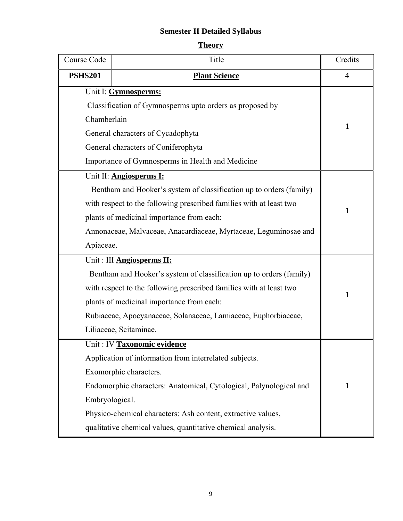## **Semester II Detailed Syllabus**

| e<br>ш |
|--------|
|        |

| Course Code                                                         | Title                                                               | Credits        |  |
|---------------------------------------------------------------------|---------------------------------------------------------------------|----------------|--|
| <b>PSHS201</b>                                                      | <b>Plant Science</b>                                                | $\overline{4}$ |  |
| Unit I: Gymnosperms:                                                |                                                                     |                |  |
|                                                                     | Classification of Gymnosperms upto orders as proposed by            |                |  |
| Chamberlain                                                         |                                                                     | $\mathbf{1}$   |  |
|                                                                     | General characters of Cycadophyta                                   |                |  |
|                                                                     | General characters of Coniferophyta                                 |                |  |
|                                                                     | Importance of Gymnosperms in Health and Medicine                    |                |  |
|                                                                     | Unit II: <b>Angiosperms I:</b>                                      |                |  |
|                                                                     | Bentham and Hooker's system of classification up to orders (family) |                |  |
|                                                                     | with respect to the following prescribed families with at least two |                |  |
|                                                                     | plants of medicinal importance from each:                           | $\mathbf{1}$   |  |
|                                                                     | Annonaceae, Malvaceae, Anacardiaceae, Myrtaceae, Leguminosae and    |                |  |
| Apiaceae.                                                           |                                                                     |                |  |
|                                                                     | Unit: III <b>Angiosperms II:</b>                                    |                |  |
|                                                                     | Bentham and Hooker's system of classification up to orders (family) |                |  |
| with respect to the following prescribed families with at least two | $\mathbf{1}$                                                        |                |  |
| plants of medicinal importance from each:                           |                                                                     |                |  |
|                                                                     | Rubiaceae, Apocyanaceae, Solanaceae, Lamiaceae, Euphorbiaceae,      |                |  |
|                                                                     | Liliaceae, Scitaminae.                                              |                |  |
|                                                                     | Unit : IV Taxonomic evidence                                        |                |  |
|                                                                     | Application of information from interrelated subjects.              |                |  |
| Exomorphic characters.                                              |                                                                     |                |  |
| Endomorphic characters: Anatomical, Cytological, Palynological and  | $\mathbf{1}$                                                        |                |  |
| Embryological.                                                      |                                                                     |                |  |
| Physico-chemical characters: Ash content, extractive values,        |                                                                     |                |  |
| qualitative chemical values, quantitative chemical analysis.        |                                                                     |                |  |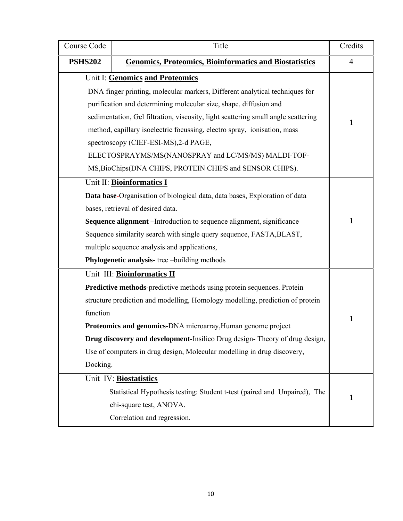| Course Code                                                                 | Title                                                                             | Credits |  |  |
|-----------------------------------------------------------------------------|-----------------------------------------------------------------------------------|---------|--|--|
| <b>PSHS202</b>                                                              | <b>Genomics, Proteomics, Bioinformatics and Biostatistics</b>                     |         |  |  |
| Unit I: Genomics and Proteomics                                             |                                                                                   |         |  |  |
| DNA finger printing, molecular markers, Different analytical techniques for |                                                                                   |         |  |  |
|                                                                             | purification and determining molecular size, shape, diffusion and                 |         |  |  |
|                                                                             | sedimentation, Gel filtration, viscosity, light scattering small angle scattering | 1       |  |  |
|                                                                             | method, capillary isoelectric focussing, electro spray, ionisation, mass          |         |  |  |
|                                                                             | spectroscopy (CIEF-ESI-MS), 2-d PAGE,                                             |         |  |  |
|                                                                             | ELECTOSPRAYMS/MS(NANOSPRAY and LC/MS/MS) MALDI-TOF-                               |         |  |  |
|                                                                             | MS, BioChips(DNA CHIPS, PROTEIN CHIPS and SENSOR CHIPS).                          |         |  |  |
|                                                                             | Unit II: Bioinformatics I                                                         |         |  |  |
|                                                                             | Data base-Organisation of biological data, data bases, Exploration of data        |         |  |  |
|                                                                             | bases, retrieval of desired data.                                                 |         |  |  |
| Sequence alignment - Introduction to sequence alignment, significance       |                                                                                   |         |  |  |
| Sequence similarity search with single query sequence, FASTA, BLAST,        |                                                                                   |         |  |  |
| multiple sequence analysis and applications,                                |                                                                                   |         |  |  |
| Phylogenetic analysis- tree-building methods                                |                                                                                   |         |  |  |
|                                                                             | Unit III: Bioinformatics II                                                       |         |  |  |
|                                                                             | Predictive methods-predictive methods using protein sequences. Protein            |         |  |  |
|                                                                             | structure prediction and modelling, Homology modelling, prediction of protein     |         |  |  |
| function                                                                    |                                                                                   |         |  |  |
| Proteomics and genomics-DNA microarray, Human genome project                |                                                                                   |         |  |  |
| Drug discovery and development-Insilico Drug design-Theory of drug design,  |                                                                                   |         |  |  |
| Use of computers in drug design, Molecular modelling in drug discovery,     |                                                                                   |         |  |  |
| Docking.                                                                    |                                                                                   |         |  |  |
|                                                                             | Unit IV: Biostatistics                                                            |         |  |  |
| Statistical Hypothesis testing: Student t-test (paired and Unpaired), The   |                                                                                   |         |  |  |
| chi-square test, ANOVA.                                                     |                                                                                   |         |  |  |
| Correlation and regression.                                                 |                                                                                   |         |  |  |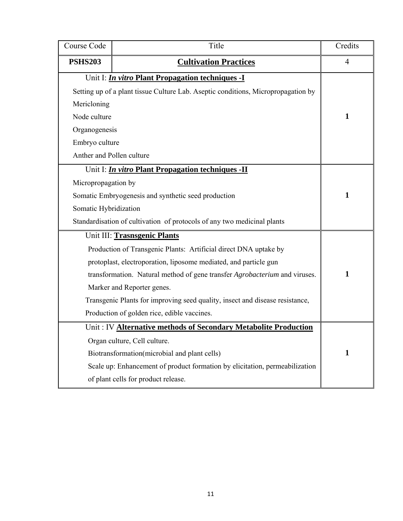| Course Code                                                                  | Title                                                                             | Credits        |  |
|------------------------------------------------------------------------------|-----------------------------------------------------------------------------------|----------------|--|
| <b>PSHS203</b>                                                               | <b>Cultivation Practices</b>                                                      | $\overline{4}$ |  |
| Unit I: <i>In vitro</i> Plant Propagation techniques -I                      |                                                                                   |                |  |
|                                                                              | Setting up of a plant tissue Culture Lab. Aseptic conditions, Micropropagation by |                |  |
| Mericloning                                                                  |                                                                                   |                |  |
| Node culture                                                                 |                                                                                   | 1              |  |
| Organogenesis                                                                |                                                                                   |                |  |
| Embryo culture                                                               |                                                                                   |                |  |
| Anther and Pollen culture                                                    |                                                                                   |                |  |
|                                                                              | Unit I: <i>In vitro</i> Plant Propagation techniques -II                          |                |  |
| Micropropagation by                                                          |                                                                                   |                |  |
|                                                                              | Somatic Embryogenesis and synthetic seed production                               | $\mathbf{1}$   |  |
| Somatic Hybridization                                                        |                                                                                   |                |  |
| Standardisation of cultivation of protocols of any two medicinal plants      |                                                                                   |                |  |
|                                                                              | Unit III: Trasnsgenic Plants                                                      |                |  |
|                                                                              | Production of Transgenic Plants: Artificial direct DNA uptake by                  |                |  |
|                                                                              | protoplast, electroporation, liposome mediated, and particle gun                  |                |  |
| transformation. Natural method of gene transfer Agrobacterium and viruses.   | 1                                                                                 |                |  |
| Marker and Reporter genes.                                                   |                                                                                   |                |  |
| Transgenic Plants for improving seed quality, insect and disease resistance, |                                                                                   |                |  |
| Production of golden rice, edible vaccines.                                  |                                                                                   |                |  |
| Unit: IV Alternative methods of Secondary Metabolite Production              |                                                                                   |                |  |
| Organ culture, Cell culture.                                                 |                                                                                   |                |  |
| Biotransformation(microbial and plant cells)                                 | 1                                                                                 |                |  |
| Scale up: Enhancement of product formation by elicitation, permeabilization  |                                                                                   |                |  |
| of plant cells for product release.                                          |                                                                                   |                |  |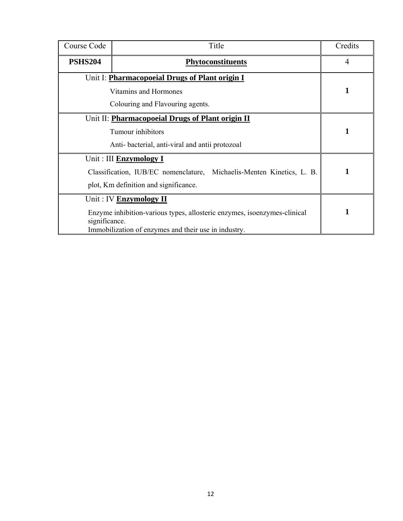| Course Code                                                                               | Title                                                                 | Credits        |
|-------------------------------------------------------------------------------------------|-----------------------------------------------------------------------|----------------|
| <b>PSHS204</b>                                                                            | <b>Phytoconstituents</b>                                              | $\overline{4}$ |
|                                                                                           | Unit I: Pharmacopoeial Drugs of Plant origin I                        |                |
|                                                                                           | Vitamins and Hormones                                                 | 1              |
|                                                                                           | Colouring and Flavouring agents.                                      |                |
|                                                                                           | Unit II: <b>Pharmacopoeial Drugs of Plant origin II</b>               |                |
| Tumour inhibitors                                                                         | 1                                                                     |                |
| Anti-bacterial, anti-viral and antii protozoal                                            |                                                                       |                |
|                                                                                           | Unit: III <b>Enzymology</b> I                                         |                |
|                                                                                           | Classification, IUB/EC nomenclature, Michaelis-Menten Kinetics, L. B. | 1              |
| plot, Km definition and significance.                                                     |                                                                       |                |
|                                                                                           | Unit: IV Enzymology II                                                |                |
| Enzyme inhibition-various types, allosteric enzymes, isoenzymes-clinical<br>significance. | 1                                                                     |                |
| Immobilization of enzymes and their use in industry.                                      |                                                                       |                |